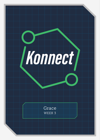